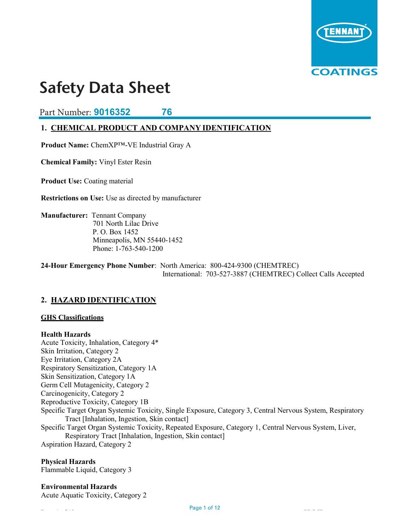

Part Number: **9016352 76**

## **1. CHEMICAL PRODUCT AND COMPANY IDENTIFICATION**

**Product Name:** ChemXP™-VE Industrial Gray A

**Chemical Family:** Vinyl Ester Resin

**Product Use: Coating material** 

**Restrictions on Use:** Use as directed by manufacturer

**Manufacturer:** Tennant Company 701 North Lilac Drive P. O. Box 1452 Minneapolis, MN 55440-1452 Phone: 1-763-540-1200

**24-Hour Emergency Phone Number**: North America: 800-424-9300 (CHEMTREC) International: 703-527-3887 (CHEMTREC) Collect Calls Accepted

## **2. HAZARD IDENTIFICATION**

## **GHS Classifications**

**Health Hazards** Acute Toxicity, Inhalation, Category 4\* Skin Irritation, Category 2 Eye Irritation, Category 2A Respiratory Sensitization, Category 1A Skin Sensitization, Category 1A Germ Cell Mutagenicity, Category 2 Carcinogenicity, Category 2 Reproductive Toxicity, Category 1B Specific Target Organ Systemic Toxicity, Single Exposure, Category 3, Central Nervous System, Respiratory Tract [Inhalation, Ingestion, Skin contact] Specific Target Organ Systemic Toxicity, Repeated Exposure, Category 1, Central Nervous System, Liver, Respiratory Tract [Inhalation, Ingestion, Skin contact] Aspiration Hazard, Category 2

**Physical Hazards** Flammable Liquid, Category 3

**Environmental Hazards** Acute Aquatic Toxicity, Category 2

Page 1 of 12 Special structure is a structure of 12 Special structure in the structure in the structure in the<br>Page 1 of 12 Special structure in the structure in the structure in the structure in the structure in the struc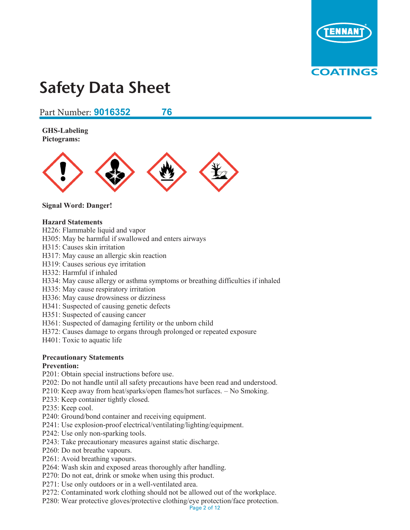

#### Part Number: **9016352 76 SDE: Rev. 8046959 PC: 920**

**GHS-Labeling Pictograms:** 



## **Signal Word: Danger!**

## **Hazard Statements**

- H226: Flammable liquid and vapor
- H305: May be harmful if swallowed and enters airways
- H315: Causes skin irritation
- H317: May cause an allergic skin reaction
- H319: Causes serious eye irritation
- H332: Harmful if inhaled
- H334: May cause allergy or asthma symptoms or breathing difficulties if inhaled
- H335: May cause respiratory irritation
- H336: May cause drowsiness or dizziness
- H341: Suspected of causing genetic defects
- H351: Suspected of causing cancer
- H361: Suspected of damaging fertility or the unborn child
- H372: Causes damage to organs through prolonged or repeated exposure
- H401: Toxic to aquatic life

## **Precautionary Statements**

## **Prevention:**

- P201: Obtain special instructions before use.
- P202: Do not handle until all safety precautions have been read and understood.
- P210: Keep away from heat/sparks/open flames/hot surfaces. No Smoking.
- P233: Keep container tightly closed.
- P235: Keep cool.
- P240: Ground/bond container and receiving equipment.
- P241: Use explosion-proof electrical/ventilating/lighting/equipment.
- P242: Use only non-sparking tools.
- P243: Take precautionary measures against static discharge.
- P260: Do not breathe vapours.
- P261: Avoid breathing vapours.
- P264: Wash skin and exposed areas thoroughly after handling.
- P270: Do not eat, drink or smoke when using this product.
- P271: Use only outdoors or in a well-ventilated area.
- P272: Contaminated work clothing should not be allowed out of the workplace.
- P280: Wear protective gloves/protective clothing/eye protection/face protection.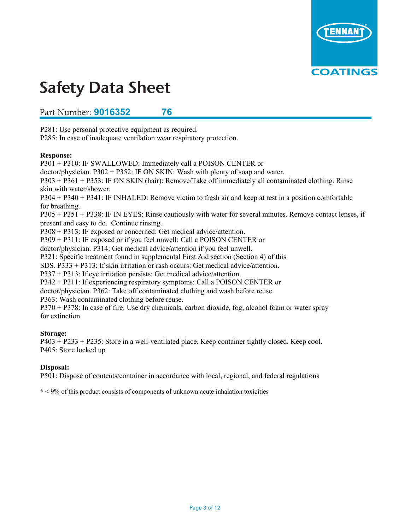

#### Part Number: **9016352 76 SDS #: Rev. # 2 Rev. Date: 9/15/2017**

P281: Use personal protective equipment as required.

P285: In case of inadequate ventilation wear respiratory protection.

## **Response:**

P301 + P310: IF SWALLOWED: Immediately call a POISON CENTER or doctor/physician. P302 + P352: IF ON SKIN: Wash with plenty of soap and water. P303 + P361 + P353: IF ON SKIN (hair): Remove/Take off immediately all contaminated clothing. Rinse skin with water/shower. P304 + P340 + P341: IF INHALED: Remove victim to fresh air and keep at rest in a position comfortable for breathing. P305 + P351 + P338: IF IN EYES: Rinse cautiously with water for several minutes. Remove contact lenses, if present and easy to do. Continue rinsing. P308 + P313: IF exposed or concerned: Get medical advice/attention. P309 + P311: IF exposed or if you feel unwell: Call a POISON CENTER or doctor/physician. P314: Get medical advice/attention if you feel unwell. P321: Specific treatment found in supplemental First Aid section (Section 4) of this SDS. P333 + P313: If skin irritation or rash occurs: Get medical advice/attention. P337 + P313: If eye irritation persists: Get medical advice/attention. P342 + P311: If experiencing respiratory symptoms: Call a POISON CENTER or doctor/physician. P362: Take off contaminated clothing and wash before reuse. P363: Wash contaminated clothing before reuse. P370 + P378: In case of fire: Use dry chemicals, carbon dioxide, fog, alcohol foam or water spray for extinction.

## **Storage:**

P403 + P233 + P235: Store in a well-ventilated place. Keep container tightly closed. Keep cool. P405: Store locked up

## **Disposal:**

P501: Dispose of contents/container in accordance with local, regional, and federal regulations

**\*** < 9% of this product consists of components of unknown acute inhalation toxicities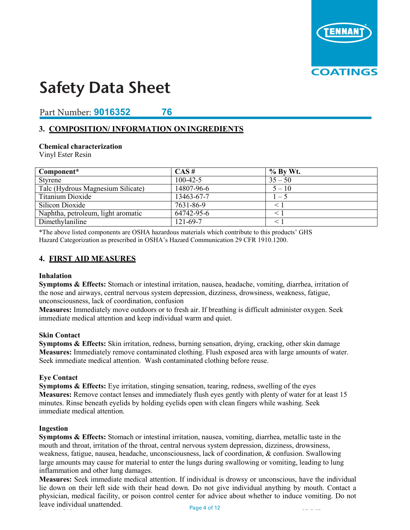

## Part Number: **9016352 76**

## **3. COMPOSITION/ INFORMATION ON INGREDIENTS**

## **Chemical characterization**

Vinyl Ester Resin

| Component*                         | CAS#           | $%$ By Wt. |
|------------------------------------|----------------|------------|
| Styrene                            | $100 - 42 - 5$ | $35 - 50$  |
| Talc (Hydrous Magnesium Silicate)  | 14807-96-6     | $5 - 10$   |
| Titanium Dioxide                   | 13463-67-7     | $1 - 5$    |
| Silicon Dioxide                    | 7631-86-9      |            |
| Naphtha, petroleum, light aromatic | 64742-95-6     |            |
| Dimethylaniline                    | 121-69-7       |            |

\*The above listed components are OSHA hazardous materials which contribute to this products' GHS Hazard Categorization as prescribed in OSHA's Hazard Communication 29 CFR 1910.1200.

## **4. FIRST AID MEASURES**

#### **Inhalation**

**Symptoms & Effects:** Stomach or intestinal irritation, nausea, headache, vomiting, diarrhea, irritation of the nose and airways, central nervous system depression, dizziness, drowsiness, weakness, fatigue, unconsciousness, lack of coordination, confusion

**Measures:** Immediately move outdoors or to fresh air. If breathing is difficult administer oxygen. Seek immediate medical attention and keep individual warm and quiet.

#### **Skin Contact**

**Symptoms & Effects:** Skin irritation, redness, burning sensation, drying, cracking, other skin damage **Measures:** Immediately remove contaminated clothing. Flush exposed area with large amounts of water. Seek immediate medical attention. Wash contaminated clothing before reuse.

## **Eye Contact**

**Symptoms & Effects:** Eye irritation, stinging sensation, tearing, redness, swelling of the eyes **Measures:** Remove contact lenses and immediately flush eyes gently with plenty of water for at least 15 minutes. Rinse beneath eyelids by holding eyelids open with clean fingers while washing. Seek immediate medical attention.

#### **Ingestion**

**Symptoms & Effects:** Stomach or intestinal irritation, nausea, vomiting, diarrhea, metallic taste in the mouth and throat, irritation of the throat, central nervous system depression, dizziness, drowsiness, weakness, fatigue, nausea, headache, unconsciousness, lack of coordination, & confusion. Swallowing large amounts may cause for material to enter the lungs during swallowing or vomiting, leading to lung inflammation and other lung damages.

**Measures:** Seek immediate medical attention. If individual is drowsy or unconscious, have the individual lie down on their left side with their head down. Do not give individual anything by mouth. Contact a physician, medical facility, or poison control center for advice about whether to induce vomiting. Do not leave individual unattended. Page 4 of 12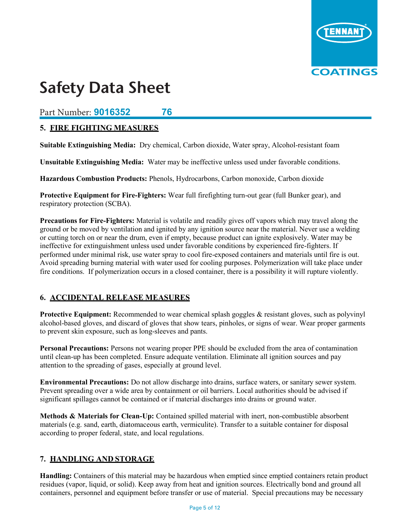

## $S$ afety Data Sheet **Product #s: 9014174, 9014176**

Part Number: **9016352 76**

## **5. FIRE FIGHTING MEASURES**

**Suitable Extinguishing Media:** Dry chemical, Carbon dioxide, Water spray, Alcohol-resistant foam

**Unsuitable Extinguishing Media:** Water may be ineffective unless used under favorable conditions.

**Hazardous Combustion Products:** Phenols, Hydrocarbons, Carbon monoxide, Carbon dioxide

**Protective Equipment for Fire-Fighters:** Wear full firefighting turn-out gear (full Bunker gear), and respiratory protection (SCBA).

**Precautions for Fire-Fighters:** Material is volatile and readily gives off vapors which may travel along the ground or be moved by ventilation and ignited by any ignition source near the material. Never use a welding or cutting torch on or near the drum, even if empty, because product can ignite explosively. Water may be ineffective for extinguishment unless used under favorable conditions by experienced fire-fighters. If performed under minimal risk, use water spray to cool fire-exposed containers and materials until fire is out. Avoid spreading burning material with water used for cooling purposes. Polymerization will take place under fire conditions. If polymerization occurs in a closed container, there is a possibility it will rupture violently.

## **6. ACCIDENTAL RELEASE MEASURES**

**Protective Equipment:** Recommended to wear chemical splash goggles & resistant gloves, such as polyvinyl alcohol-based gloves, and discard of gloves that show tears, pinholes, or signs of wear. Wear proper garments to prevent skin exposure, such as long-sleeves and pants.

**Personal Precautions:** Persons not wearing proper PPE should be excluded from the area of contamination until clean-up has been completed. Ensure adequate ventilation. Eliminate all ignition sources and pay attention to the spreading of gases, especially at ground level.

**Environmental Precautions:** Do not allow discharge into drains, surface waters, or sanitary sewer system. Prevent spreading over a wide area by containment or oil barriers. Local authorities should be advised if significant spillages cannot be contained or if material discharges into drains or ground water.

**Methods & Materials for Clean-Up:** Contained spilled material with inert, non-combustible absorbent materials (e.g. sand, earth, diatomaceous earth, vermiculite). Transfer to a suitable container for disposal according to proper federal, state, and local regulations.

## **7. HANDLING AND STORAGE**

**Handling:** Containers of this material may be hazardous when emptied since emptied containers retain product residues (vapor, liquid, or solid). Keep away from heat and ignition sources. Electrically bond and ground all containers, personnel and equipment before transfer or use of material. Special precautions may be necessary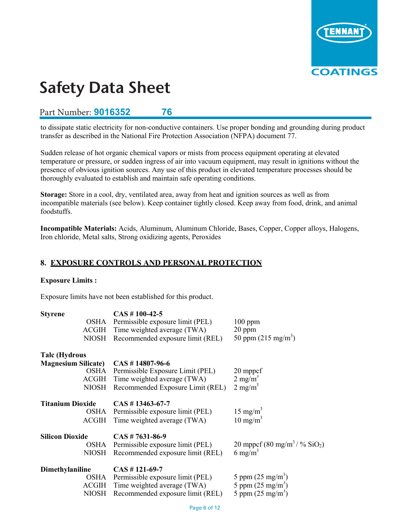

## **Part Number: 9016352 76 76**

to dissipate static electricity for non-conductive containers. Use proper bonding and grounding during product transfer as described in the National Fire Protection Association (NFPA) document 77.

Sudden release of hot organic chemical vapors or mists from process equipment operating at elevated temperature or pressure, or sudden ingress of air into vacuum equipment, may result in ignitions without the presence of obvious ignition sources. Any use of this product in elevated temperature processes should be thoroughly evaluated to establish and maintain safe operating conditions.

**Storage:** Store in a cool, dry, ventilated area, away from heat and ignition sources as well as from incompatible materials (see below). Keep container tightly closed. Keep away from food, drink, and animal foodstuffs.

**Incompatible Materials:** Acids, Aluminum, Aluminum Chloride, Bases, Copper, Copper alloys, Halogens, Iron chloride, Metal salts, Strong oxidizing agents, Peroxides

## **8. EXPOSURE CONTROLS AND PERSONAL PROTECTION**

## **Exposure Limits :**

Exposure limits have not been established for this product.

| <b>Styrene</b>             | $CAS # 100-42-5$                       |                                                          |
|----------------------------|----------------------------------------|----------------------------------------------------------|
|                            | OSHA Permissible exposure limit (PEL)  | $100$ ppm                                                |
|                            | ACGIH Time weighted average (TWA)      | $20$ ppm                                                 |
| <b>NIOSH</b>               | Recommended exposure limit (REL)       | 50 ppm $(215 \text{ mg/m}^3)$                            |
| <b>Talc</b> (Hydrous       |                                        |                                                          |
| <b>Magnesium Silicate)</b> | $CAS \# 14807-96-6$                    |                                                          |
| OSHA                       | Permissible Exposure Limit (PEL)       | 20 mppcf                                                 |
|                            | ACGIH Time weighted average (TWA)      | $2 \text{ mg/m}^3$                                       |
| <b>NIOSH</b>               | Recommended Exposure Limit (REL)       | $2 \text{ mg/m}^3$                                       |
| <b>Titanium Dioxide</b>    | $CAS \# 13463 - 67 - 7$                |                                                          |
|                            | OSHA Permissible exposure limit (PEL)  | $15 \text{ mg/m}^3$                                      |
| ACGIH                      | Time weighted average (TWA)            | $10 \text{ mg/m}^3$                                      |
| <b>Silicon Dioxide</b>     | $CAS \# 7631-86-9$                     |                                                          |
|                            | OSHA Permissible exposure limit (PEL)  | 20 mppcf (80 mg/m <sup>3</sup> / $\%$ SiO <sub>2</sub> ) |
|                            | NIOSH Recommended exposure limit (REL) | 6 mg/m <sup>3</sup>                                      |
| Dimethylaniline            | $CAS # 121-69-7$                       |                                                          |
| OSHA                       | Permissible exposure limit (PEL)       | 5 ppm $(25 \text{ mg/m}^3)$                              |
|                            | ACGIH Time weighted average (TWA)      | 5 ppm $(25 \text{ mg/m}^3)$                              |
| NIOSH                      | Recommended exposure limit (REL)       | 5 ppm $(25 \text{ mg/m}^3)$                              |
|                            |                                        |                                                          |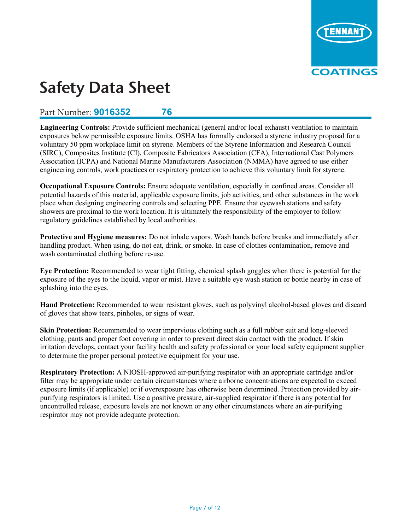

## Part Number: **9016352 76**

**Engineering Controls:** Provide sufficient mechanical (general and/or local exhaust) ventilation to maintain exposures below permissible exposure limits. OSHA has formally endorsed a styrene industry proposal for a voluntary 50 ppm workplace limit on styrene. Members of the Styrene Information and Research Council (SIRC), Composites Institute (CI), Composite Fabricators Association (CFA), International Cast Polymers Association (ICPA) and National Marine Manufacturers Association (NMMA) have agreed to use either engineering controls, work practices or respiratory protection to achieve this voluntary limit for styrene.

**Occupational Exposure Controls:** Ensure adequate ventilation, especially in confined areas. Consider all potential hazards of this material, applicable exposure limits, job activities, and other substances in the work place when designing engineering controls and selecting PPE. Ensure that eyewash stations and safety showers are proximal to the work location. It is ultimately the responsibility of the employer to follow regulatory guidelines established by local authorities.

**Protective and Hygiene measures:** Do not inhale vapors. Wash hands before breaks and immediately after handling product. When using, do not eat, drink, or smoke. In case of clothes contamination, remove and wash contaminated clothing before re-use.

**Eye Protection:** Recommended to wear tight fitting, chemical splash goggles when there is potential for the exposure of the eyes to the liquid, vapor or mist. Have a suitable eye wash station or bottle nearby in case of splashing into the eyes.

**Hand Protection:** Recommended to wear resistant gloves, such as polyvinyl alcohol-based gloves and discard of gloves that show tears, pinholes, or signs of wear.

**Skin Protection:** Recommended to wear impervious clothing such as a full rubber suit and long-sleeved clothing, pants and proper foot covering in order to prevent direct skin contact with the product. If skin irritation develops, contact your facility health and safety professional or your local safety equipment supplier to determine the proper personal protective equipment for your use.

**Respiratory Protection:** A NIOSH-approved air-purifying respirator with an appropriate cartridge and/or filter may be appropriate under certain circumstances where airborne concentrations are expected to exceed exposure limits (if applicable) or if overexposure has otherwise been determined. Protection provided by airpurifying respirators is limited. Use a positive pressure, air-supplied respirator if there is any potential for uncontrolled release, exposure levels are not known or any other circumstances where an air-purifying respirator may not provide adequate protection.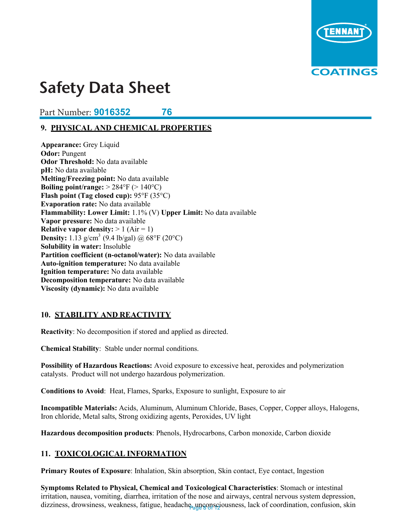

## **Safety Data Sheet Product #s: 9014174, 9014176**

#### **Part Number: 9016352 76 76 SDS #: Rev. # 2 Rev. Date: 9/15/2017**

#### **9. PHYSICAL AND CHEMICAL PROPERTIES 9. PHYSICAL AND CHEMICAL PROPERTIES**

**Appearance:** Grey Liquid **Odor:** Pungent **Odor Threshold:** No data available **pH:** No data available **Medicing points Melting/Freezing point:** No data available  $\text{Boiling point/range:} > 284^{\circ} \text{F} \left( > 140^{\circ} \text{C} \right)$ **Flash point (Tag closed cup):** 95°F (35°C) **Evaporation rate:** No data available<br> **FLAMMADILITY:** No data available **Flammability: Lower Limit:** 1.1% (V) Upper Limit: No data available **Vapor pressure:** No data available **Relative vapor density:**  $> 1$  (Air = 1) **Density:**  $1.13 \text{ g/cm}^3$  (9.4 lb/gal) @ 68°F (20°C) **Solubility in water:** Insoluble  $\frac{1}{2}$ **Partition coefficient (n-octanol/water):** No data available **Auto-ignition temperature:** No data available **Ignition temperature:** No data available **Ignition temperature:** No data available **Decomposition temperature:** No data available **Viscosity (dynamic):** No data available **Appearance:** Grey Liquid **Appearance:** C **Odor:** Pungent **p**data intesnoid: No

#### **10. STABILITY AND REACTIVITY 10. STABILITY AND REACTIVITY**

**Reactivity**: No decomposition if stored and applied as directed. **Reactivity**: No decomposition if stored and applied as directed.

**Chemical Stability**: Stable under normal conditions. **Chemical Stability**: Stable under normal conditions.

**Possibility of Hazardous Reactions:** Avoid exposure to excessive heat, peroxides and polymerization catalysts. Product will not undergo hazardous polymerization. **Possibility of Hazardous Reactions:** Avoid exposure to excessive heat, peroxides and polymerization **POSSIBILITY OF HAZAPHOUS REACTIONS:** AVOID exposure to exces

**Conditions to Avoid**: Heat, Flames, Sparks, Exposure to sunlight, Exposure to air **Conditions to Avoid**: Heat, Flames, Sparks, Exposure to sunlight, Exposure to air

**Incompatible Materials:** Acids, Aluminum, Aluminum Chloride, Bases, Copper, Copper alloys, Halogens, Iron chloride, Metal salts, Strong oxidizing agents, Peroxides, UV light **Incompatible Materials:** Acids, Aluminum, Aluminum Chloride, Bases, Copper, Copper alloys, Halogens, **Incompatible Materials:** Acids, Aluminum, Aluminum Chloride, Base

**Hazardous decomposition products**: Phenols, Hydrocarbons, Carbon monoxide, Carbon dioxide **Hazardous decomposition products**: Phenols, Hydrocarbons, Carbon monoxide, Carbon dioxide

#### **11. TOXICOLOGICAL INFORMATION 11. TOXICOLOGICAL INFORMATION**

**Primary Routes of Exposure**: Inhalation, Skin contact, Eye contact, Eye contact, Eye contact, Ingestion, Ingels **Primary Routes of Exposure**: Inhalation, Skin absorption, Skin contact, Eye contact, Ingestion

irritation, nausea, vomiting, diarrhea, irritation of the nose and airways, central nervous system depression, dizziness drowsiness weakness fatigue headache unconsciousness lack of coordination confusion skin dizziness, drowsiness, weakness, fatigue, headache<sub>agli</sub>ngonsciousness, lack of coordination, confusion, skin **Symptoms Related to Physical, Chemical and Toxicological Characteristics**: Stomach or intestinal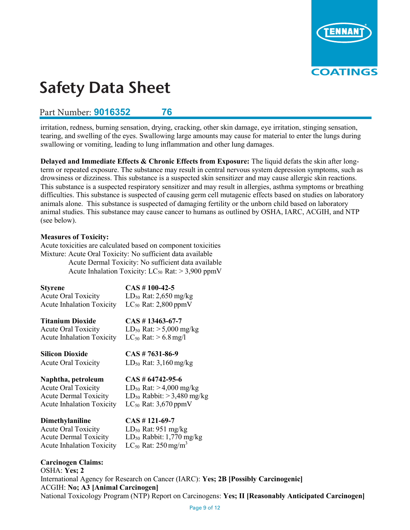

## **Part Number: 9016352 76 76**

irritation, redness, burning sensation, drying, cracking, other skin damage, eye irritation, stinging sensation, tearing, and swelling of the eyes. Swallowing large amounts may cause for material to enter the lungs during swallowing or vomiting, leading to lung inflammation and other lung damages.

**Delayed and Immediate Effects & Chronic Effects from Exposure:** The liquid defats the skin after longterm or repeated exposure. The substance may result in central nervous system depression symptoms, such as drowsiness or dizziness. This substance is a suspected skin sensitizer and may cause allergic skin reactions. This substance is a suspected respiratory sensitizer and may result in allergies, asthma symptoms or breathing difficulties. This substance is suspected of causing germ cell mutagenic effects based on studies on laboratory animals alone. This substance is suspected of damaging fertility or the unborn child based on laboratory animal studies. This substance may cause cancer to humans as outlined by OSHA, IARC, ACGIH, and NTP (see below).

## **Measures of Toxicity:**

Acute toxicities are calculated based on component toxicities Mixture: Acute Oral Toxicity: No sufficient data available

Acute Dermal Toxicity: No sufficient data available Acute Inhalation Toxicity:  $LC_{50}$  Rat:  $> 3,900$  ppmV

| <b>Styrene</b>                                                   | $CAS \# 100-42-5$                                                     |
|------------------------------------------------------------------|-----------------------------------------------------------------------|
| <b>Acute Oral Toxicity</b>                                       | $LD_{50}$ Rat: 2,650 mg/kg                                            |
| <b>Acute Inhalation Toxicity</b>                                 | $LC_{50}$ Rat: 2,800 ppmV                                             |
|                                                                  |                                                                       |
| <b>Titanium Dioxide</b>                                          | $\text{CAS}~\#~13463\text{-}67\text{-}7$                              |
| <b>Acute Oral Toxicity</b>                                       | $LD_{50}$ Rat: $> 5,000$ mg/kg                                        |
| <b>Acute Inhalation Toxicity</b>                                 | $LC_{50}$ Rat: $> 6.8$ mg/l                                           |
| <b>Silicon Dioxide</b>                                           | $CAS \# 7631-86-9$                                                    |
| <b>Acute Oral Toxicity</b>                                       | $LD_{50}$ Rat: 3,160 mg/kg                                            |
|                                                                  |                                                                       |
|                                                                  |                                                                       |
| Naphtha, petroleum                                               | $CAS \# 64742 - 95 - 6$                                               |
| <b>Acute Oral Toxicity</b>                                       |                                                                       |
| <b>Acute Dermal Toxicity</b>                                     | $LD_{50}$ Rat: > 4,000 mg/kg<br>$LD_{50}$ Rabbit: $> 3,480$ mg/kg     |
| <b>Acute Inhalation Toxicity</b>                                 | $LC_{50}$ Rat: 3,670 ppmV                                             |
|                                                                  |                                                                       |
| <b>Dimethylaniline</b>                                           | $CAS \# 121-69-7$                                                     |
| <b>Acute Oral Toxicity</b>                                       | $LD_{50}$ Rat: 951 mg/kg                                              |
| <b>Acute Dermal Toxicity</b><br><b>Acute Inhalation Toxicity</b> | $LD_{50}$ Rabbit: 1,770 mg/kg<br>$LC_{50}$ Rat: 250 mg/m <sup>3</sup> |

**Carcinogen Claims:**  OSHA: **Yes; 2** International Agency for Research on Cancer (IARC): **Yes; 2B [Possibly Carcinogenic]**  ACGIH: **No; A3 [Animal Carcinogen]**  National Toxicology Program (NTP) Report on Carcinogens: **Yes; II [Reasonably Anticipated Carcinogen]**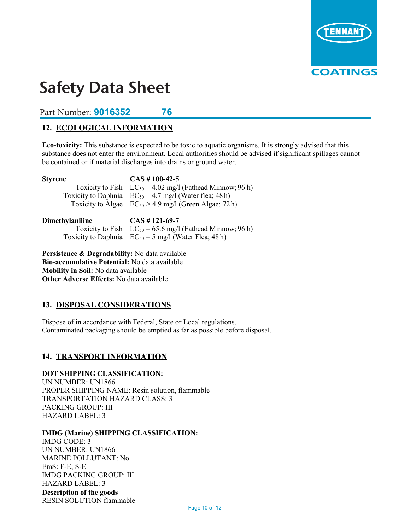

**Part Number: 9016352 76 76** 

## **12. ECOLOGICAL INFORMATION**

**Eco-toxicity:** This substance is expected to be toxic to aquatic organisms. It is strongly advised that this substance does not enter the environment. Local authorities should be advised if significant spillages cannot be contained or if material discharges into drains or ground water.

| Dimethylaniline | $CAS # 121-69-7$                                                                                                                                                                                                       |
|-----------------|------------------------------------------------------------------------------------------------------------------------------------------------------------------------------------------------------------------------|
| <b>Styrene</b>  | $\text{CAS}~\#~100-42-5$<br>Toxicity to Fish $LC_{50} - 4.02$ mg/l (Fathead Minnow; 96 h)<br>Toxicity to Daphnia $EC_{50} - 4.7$ mg/l (Water flea; 48 h)<br>Toxicity to Algae $EC_{50} > 4.9$ mg/l (Green Algae; 72 h) |
|                 |                                                                                                                                                                                                                        |

| лшсигуташшис | CMJ H 1417077                                                 |
|--------------|---------------------------------------------------------------|
|              | Toxicity to Fish $LC_{50} - 65.6$ mg/l (Fathead Minnow; 96 h) |
|              | Toxicity to Daphnia $EC_{50} - 5$ mg/l (Water Flea; 48 h)     |

**Persistence & Degradability:** No data available **Bio-accumulative Potential:** No data available **Mobility in Soil:** No data available **Other Adverse Effects:** No data available

## **13. DISPOSAL CONSIDERATIONS**

Dispose of in accordance with Federal, State or Local regulations. Contaminated packaging should be emptied as far as possible before disposal.

## **14. TRANSPORT INFORMATION**

## **DOT SHIPPING CLASSIFICATION:**

UN NUMBER: UN1866 PROPER SHIPPING NAME: Resin solution, flammable TRANSPORTATION HAZARD CLASS: 3 PACKING GROUP: III HAZARD LABEL: 3

## **IMDG (Marine) SHIPPING CLASSIFICATION:**

IMDG CODE: 3 UN NUMBER: UN1866 MARINE POLLUTANT: No EmS: F-E; S-E IMDG PACKING GROUP: III HAZARD LABEL: 3 **Description of the goods**  RESIN SOLUTION flammable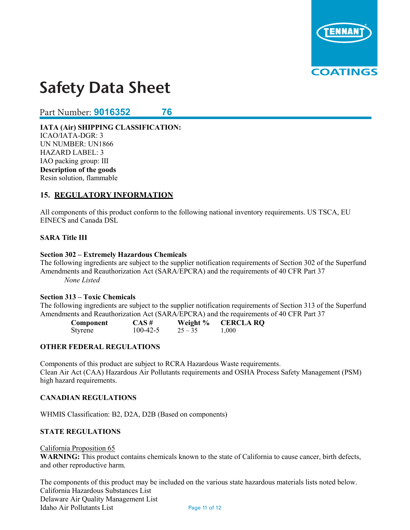

**Part Number: 9016352 76 76** 

**IATA (Air) SHIPPING CLASSIFICATION:**  ICAO/IATA-DGR: 3 UN NUMBER: UN1866 HAZARD LABEL: 3 IAO packing group: III **Description of the goods**  Resin solution, flammable

## **15. REGULATORY INFORMATION**

All components of this product conform to the following national inventory requirements. US TSCA, EU EINECS and Canada DSL

## **SARA Title III**

#### **Section 302 – Extremely Hazardous Chemicals**

The following ingredients are subject to the supplier notification requirements of Section 302 of the Superfund Amendments and Reauthorization Act (SARA/EPCRA) and the requirements of 40 CFR Part 37 *None Listed* 

## **Section 313 – Toxic Chemicals**

The following ingredients are subject to the supplier notification requirements of Section 313 of the Superfund Amendments and Reauthorization Act (SARA/EPCRA) and the requirements of 40 CFR Part 37

| Component | $CAS \#$       | Weight %  | <b>CERCLA RQ</b> |
|-----------|----------------|-----------|------------------|
| Styrene   | $100 - 42 - 5$ | $25 - 35$ | 1,000            |

## **OTHER FEDERAL REGULATIONS**

Components of this product are subject to RCRA Hazardous Waste requirements. Clean Air Act (CAA) Hazardous Air Pollutants requirements and OSHA Process Safety Management (PSM) high hazard requirements.

## **CANADIAN REGULATIONS**

WHMIS Classification: B2, D2A, D2B (Based on components)

## **STATE REGULATIONS**

#### California Proposition 65

**WARNING:** This product contains chemicals known to the state of California to cause cancer, birth defects, and other reproductive harm.

The components of this product may be included on the various state hazardous materials lists noted below. California Hazardous Substances List Delaware Air Quality Management List Idaho Air Pollutants List Page 11 of 12